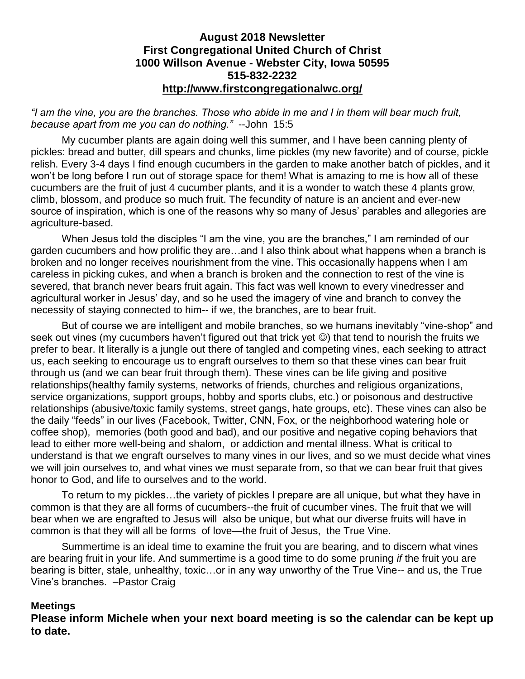### **August 2018 Newsletter First Congregational United Church of Christ 1000 Willson Avenue - Webster City, Iowa 50595 515-832-2232 <http://www.firstcongregationalwc.org/>**

### *"I am the vine, you are the branches. Those who abide in me and I in them will bear much fruit, because apart from me you can do nothing."* --John 15:5

My cucumber plants are again doing well this summer, and I have been canning plenty of pickles: bread and butter, dill spears and chunks, lime pickles (my new favorite) and of course, pickle relish. Every 3-4 days I find enough cucumbers in the garden to make another batch of pickles, and it won't be long before I run out of storage space for them! What is amazing to me is how all of these cucumbers are the fruit of just 4 cucumber plants, and it is a wonder to watch these 4 plants grow, climb, blossom, and produce so much fruit. The fecundity of nature is an ancient and ever-new source of inspiration, which is one of the reasons why so many of Jesus' parables and allegories are agriculture-based.

When Jesus told the disciples "I am the vine, you are the branches," I am reminded of our garden cucumbers and how prolific they are…and I also think about what happens when a branch is broken and no longer receives nourishment from the vine. This occasionally happens when I am careless in picking cukes, and when a branch is broken and the connection to rest of the vine is severed, that branch never bears fruit again. This fact was well known to every vinedresser and agricultural worker in Jesus' day, and so he used the imagery of vine and branch to convey the necessity of staying connected to him-- if we, the branches, are to bear fruit.

But of course we are intelligent and mobile branches, so we humans inevitably "vine-shop" and seek out vines (my cucumbers haven't figured out that trick yet  $\odot$ ) that tend to nourish the fruits we prefer to bear. It literally is a jungle out there of tangled and competing vines, each seeking to attract us, each seeking to encourage us to engraft ourselves to them so that these vines can bear fruit through us (and we can bear fruit through them). These vines can be life giving and positive relationships(healthy family systems, networks of friends, churches and religious organizations, service organizations, support groups, hobby and sports clubs, etc.) or poisonous and destructive relationships (abusive/toxic family systems, street gangs, hate groups, etc). These vines can also be the daily "feeds" in our lives (Facebook, Twitter, CNN, Fox, or the neighborhood watering hole or coffee shop), memories (both good and bad), and our positive and negative coping behaviors that lead to either more well-being and shalom, or addiction and mental illness. What is critical to understand is that we engraft ourselves to many vines in our lives, and so we must decide what vines we will join ourselves to, and what vines we must separate from, so that we can bear fruit that gives honor to God, and life to ourselves and to the world.

To return to my pickles…the variety of pickles I prepare are all unique, but what they have in common is that they are all forms of cucumbers--the fruit of cucumber vines. The fruit that we will bear when we are engrafted to Jesus will also be unique, but what our diverse fruits will have in common is that they will all be forms of love—the fruit of Jesus, the True Vine.

Summertime is an ideal time to examine the fruit you are bearing, and to discern what vines are bearing fruit in your life. And summertime is a good time to do some pruning *if* the fruit you are bearing is bitter, stale, unhealthy, toxic…or in any way unworthy of the True Vine-- and us, the True Vine's branches. –Pastor Craig

#### **Meetings**

**Please inform Michele when your next board meeting is so the calendar can be kept up to date.**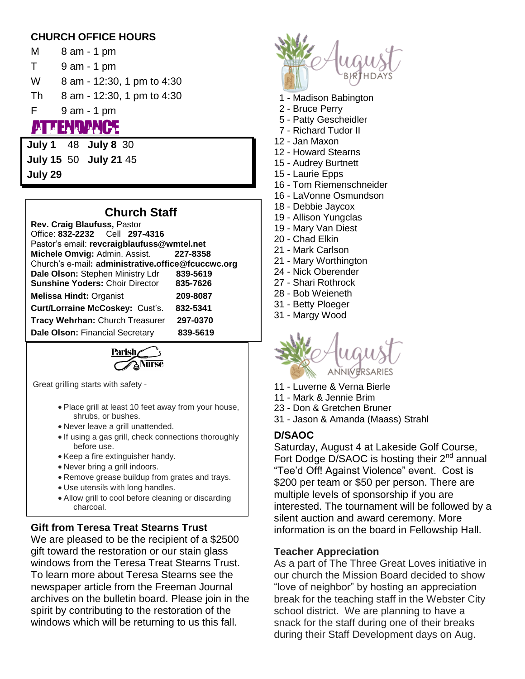## **CHURCH OFFICE HOURS**

- M 8 am 1 pm T 9 am - 1 pm W 8 am - 12:30, 1 pm to 4:30 Th 8 am - 12:30, 1 pm to 4:30 F 9 am - 1 pm 5. I.I I.I. I P.S
- **July 1** 48 **July 8** 30 **July 15** 50 **July 21** 45 **July 29**

# **Church Staff**

**Rev. Craig Blaufuss,** Pastor Office: **832-2232** Cell **297-4316**  Pastor's email: **revcraigblaufuss@wmtel.net Michele Omvig:** Admin. Assist. **227-8358** Church's e-mail**: [administrative.office@fcuccwc.org](mailto:administrative.office@fcuccwc.org) Dale Olson:** Stephen Ministry Ldr **839-5619 Sunshine Yoders:** Choir Director **835-7626 Melissa Hindt:** Organist **209-8087 Curt/Lorraine McCoskey:** Cust's. **832-5341 Tracy Wehrhan:** Church Treasurer **297-0370 Dale Olson:** Financial Secretary **839-5619**

Parish

Great grilling starts with safety -

- Place grill at least 10 feet away from your house, shrubs, or bushes.
- Never leave a grill unattended.
- If using a gas grill, check connections thoroughly before use.
- Keep a fire extinguisher handy.
- Never bring a grill indoors.
- Remove grease buildup from grates and trays.
- Use utensils with long handles.
- Allow grill to cool before cleaning or discarding charcoal.

# **Gift from Teresa Treat Stearns Trust**

We are pleased to be the recipient of a \$2500 gift toward the restoration or our stain glass windows from the Teresa Treat Stearns Trust. To learn more about Teresa Stearns see the newspaper article from the Freeman Journal archives on the bulletin board. Please join in the spirit by contributing to the restoration of the windows which will be returning to us this fall.



- 1 Madison Babington
- 2 Bruce Perry
- 5 Patty Gescheidler
- 7 Richard Tudor II
- 12 Jan Maxon
- 12 Howard Stearns
- 15 Audrey Burtnett
- 15 Laurie Epps
- 16 Tom Riemenschneider
- 16 LaVonne Osmundson
- 18 Debbie Jaycox
- 19 Allison Yungclas
- 19 Mary Van Diest
- 20 Chad Elkin
- 21 Mark Carlson
- 21 Mary Worthington
- 24 Nick Oberender
- 27 Shari Rothrock
- 28 Bob Weieneth
- 31 Betty Ploeger
- 31 Margy Wood



- 11 Luverne & Verna Bierle
- 11 Mark & Jennie Brim
- 23 Don & Gretchen Bruner
- 31 Jason & Amanda (Maass) Strahl

# **D/SAOC**

Saturday, August 4 at Lakeside Golf Course, Fort Dodge D/SAOC is hosting their  $2^{nd}$  annual "Tee'd Off! Against Violence" event. Cost is \$200 per team or \$50 per person. There are multiple levels of sponsorship if you are interested. The tournament will be followed by a silent auction and award ceremony. More information is on the board in Fellowship Hall.

### **Teacher Appreciation**

As a part of The Three Great Loves initiative in our church the Mission Board decided to show "love of neighbor" by hosting an appreciation break for the teaching staff in the Webster City school district. We are planning to have a snack for the staff during one of their breaks during their Staff Development days on Aug.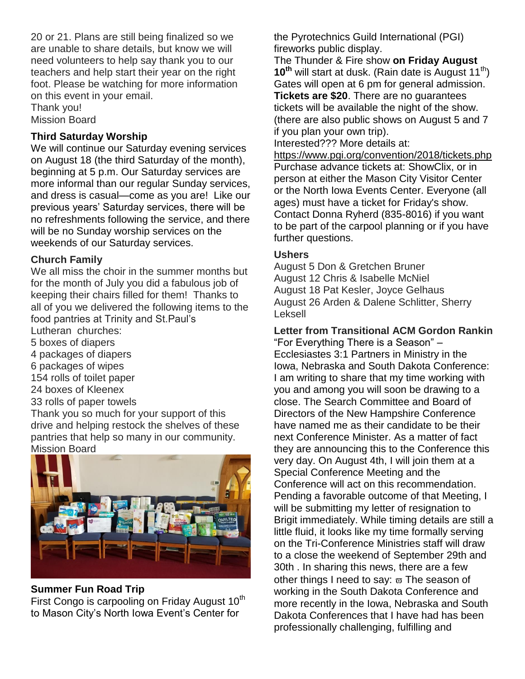20 or 21. Plans are still being finalized so we are unable to share details, but know we will need volunteers to help say thank you to our teachers and help start their year on the right foot. Please be watching for more information on this event in your email.

Thank you! Mission Board

## **Third Saturday Worship**

We will continue our Saturday evening services on August 18 (the third Saturday of the month), beginning at 5 p.m. Our Saturday services are more informal than our regular Sunday services, and dress is casual—come as you are! Like our previous years' Saturday services, there will be no refreshments following the service, and there will be no Sunday worship services on the weekends of our Saturday services.

### **Church Family**

We all miss the choir in the summer months but for the month of July you did a fabulous job of keeping their chairs filled for them! Thanks to all of you we delivered the following items to the food pantries at Trinity and St.Paul's Lutheran churches: 5 boxes of diapers 4 packages of diapers 6 packages of wipes 154 rolls of toilet paper 24 boxes of Kleenex 33 rolls of paper towels Thank you so much for your support of this drive and helping restock the shelves of these pantries that help so many in our community.

Mission Board



## **Summer Fun Road Trip**

First Congo is carpooling on Friday August  $10<sup>th</sup>$ to Mason City's North Iowa Event's Center for

the Pyrotechnics Guild International (PGI) fireworks public display.

The Thunder & Fire show **on Friday August 10<sup>th</sup>** will start at dusk. (Rain date is August 11<sup>th</sup>) Gates will open at 6 pm for general admission. **Tickets are \$20**. There are no guarantees tickets will be available the night of the show. (there are also public shows on August 5 and 7 if you plan your own trip).

Interested??? More details at:

<https://www.pgi.org/convention/2018/tickets.php> Purchase advance tickets at: ShowClix, or in person at either the Mason City Visitor Center or the North Iowa Events Center. Everyone (all ages) must have a ticket for Friday's show. Contact Donna Ryherd (835-8016) if you want to be part of the carpool planning or if you have further questions.

### **Ushers**

August 5 Don & Gretchen Bruner August 12 Chris & Isabelle McNiel August 18 Pat Kesler, Joyce Gelhaus August 26 Arden & Dalene Schlitter, Sherry Leksell

**Letter from Transitional ACM Gordon Rankin**

"For Everything There is a Season" – Ecclesiastes 3:1 Partners in Ministry in the Iowa, Nebraska and South Dakota Conference: I am writing to share that my time working with you and among you will soon be drawing to a close. The Search Committee and Board of Directors of the New Hampshire Conference have named me as their candidate to be their next Conference Minister. As a matter of fact they are announcing this to the Conference this very day. On August 4th, I will join them at a Special Conference Meeting and the Conference will act on this recommendation. Pending a favorable outcome of that Meeting, I will be submitting my letter of resignation to Brigit immediately. While timing details are still a little fluid, it looks like my time formally serving on the Tri-Conference Ministries staff will draw to a close the weekend of September 29th and 30th . In sharing this news, there are a few other things I need to say:  $\varpi$  The season of working in the South Dakota Conference and more recently in the Iowa, Nebraska and South Dakota Conferences that I have had has been professionally challenging, fulfilling and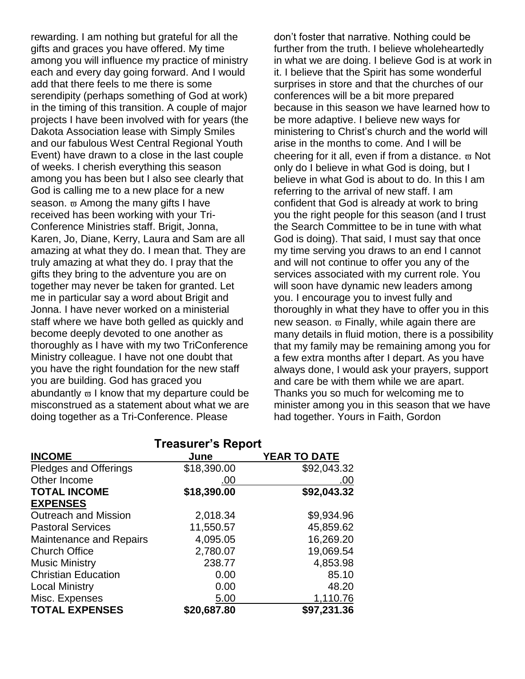rewarding. I am nothing but grateful for all the gifts and graces you have offered. My time among you will influence my practice of ministry each and every day going forward. And I would add that there feels to me there is some serendipity (perhaps something of God at work) in the timing of this transition. A couple of major projects I have been involved with for years (the Dakota Association lease with Simply Smiles and our fabulous West Central Regional Youth Event) have drawn to a close in the last couple of weeks. I cherish everything this season among you has been but I also see clearly that God is calling me to a new place for a new season.  $\varpi$  Among the many gifts I have received has been working with your Tri-Conference Ministries staff. Brigit, Jonna, Karen, Jo, Diane, Kerry, Laura and Sam are all amazing at what they do. I mean that. They are truly amazing at what they do. I pray that the gifts they bring to the adventure you are on together may never be taken for granted. Let me in particular say a word about Brigit and Jonna. I have never worked on a ministerial staff where we have both gelled as quickly and become deeply devoted to one another as thoroughly as I have with my two TriConference Ministry colleague. I have not one doubt that you have the right foundation for the new staff you are building. God has graced you abundantly  $\varpi$  I know that my departure could be misconstrued as a statement about what we are doing together as a Tri-Conference. Please

don't foster that narrative. Nothing could be further from the truth. I believe wholeheartedly in what we are doing. I believe God is at work in it. I believe that the Spirit has some wonderful surprises in store and that the churches of our conferences will be a bit more prepared because in this season we have learned how to be more adaptive. I believe new ways for ministering to Christ's church and the world will arise in the months to come. And I will be cheering for it all, even if from a distance.  $\varpi$  Not only do I believe in what God is doing, but I believe in what God is about to do. In this I am referring to the arrival of new staff. I am confident that God is already at work to bring you the right people for this season (and I trust the Search Committee to be in tune with what God is doing). That said, I must say that once my time serving you draws to an end I cannot and will not continue to offer you any of the services associated with my current role. You will soon have dynamic new leaders among you. I encourage you to invest fully and thoroughly in what they have to offer you in this new season.  $\varpi$  Finally, while again there are many details in fluid motion, there is a possibility that my family may be remaining among you for a few extra months after I depart. As you have always done, I would ask your prayers, support and care be with them while we are apart. Thanks you so much for welcoming me to minister among you in this season that we have had together. Yours in Faith, Gordon

|                                | <b>Treasurer's Report</b> |                     |
|--------------------------------|---------------------------|---------------------|
| <b>INCOME</b>                  | June                      | <b>YEAR TO DATE</b> |
| <b>Pledges and Offerings</b>   | \$18,390.00               | \$92,043.32         |
| Other Income                   | .00                       | .00                 |
| <b>TOTAL INCOME</b>            | \$18,390.00               | \$92,043.32         |
| <b>EXPENSES</b>                |                           |                     |
| <b>Outreach and Mission</b>    | 2,018.34                  | \$9,934.96          |
| <b>Pastoral Services</b>       | 11,550.57                 | 45,859.62           |
| <b>Maintenance and Repairs</b> | 4,095.05                  | 16,269.20           |
| <b>Church Office</b>           | 2,780.07                  | 19,069.54           |
| <b>Music Ministry</b>          | 238.77                    | 4,853.98            |
| <b>Christian Education</b>     | 0.00                      | 85.10               |
| <b>Local Ministry</b>          | 0.00                      | 48.20               |
| Misc. Expenses                 | 5.00                      | 1,110.76            |
| <b>TOTAL EXPENSES</b>          | \$20,687.80               | \$97,231.36         |